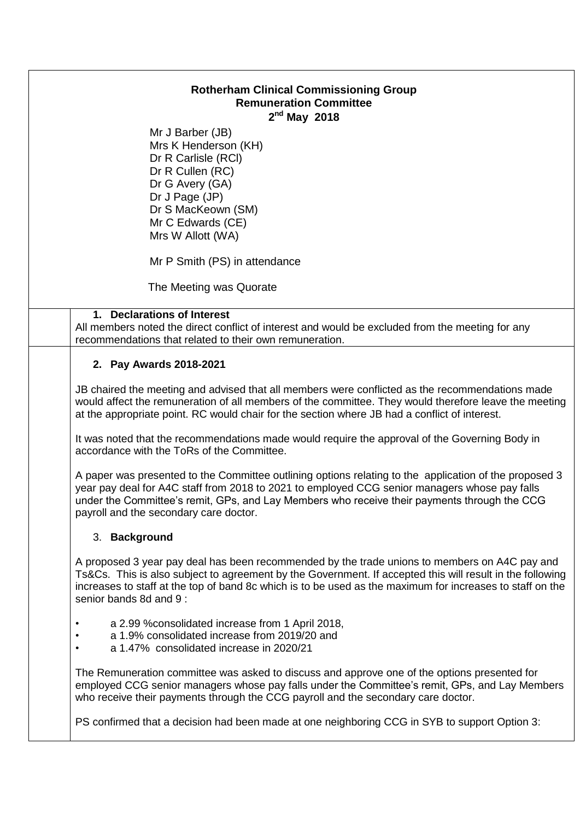| <b>Rotherham Clinical Commissioning Group</b><br><b>Remuneration Committee</b><br>$2nd$ May 2018 |                                                                                                                                                                                                                                                                                                                                                   |
|--------------------------------------------------------------------------------------------------|---------------------------------------------------------------------------------------------------------------------------------------------------------------------------------------------------------------------------------------------------------------------------------------------------------------------------------------------------|
|                                                                                                  | Mr J Barber (JB)<br>Mrs K Henderson (KH)<br>Dr R Carlisle (RCI)<br>Dr R Cullen (RC)<br>Dr G Avery (GA)<br>Dr J Page (JP)<br>Dr S MacKeown (SM)<br>Mr C Edwards (CE)<br>Mrs W Allott (WA)                                                                                                                                                          |
|                                                                                                  | Mr P Smith (PS) in attendance                                                                                                                                                                                                                                                                                                                     |
|                                                                                                  | The Meeting was Quorate                                                                                                                                                                                                                                                                                                                           |
|                                                                                                  | 1. Declarations of Interest<br>All members noted the direct conflict of interest and would be excluded from the meeting for any<br>recommendations that related to their own remuneration.                                                                                                                                                        |
|                                                                                                  | 2. Pay Awards 2018-2021                                                                                                                                                                                                                                                                                                                           |
|                                                                                                  | JB chaired the meeting and advised that all members were conflicted as the recommendations made<br>would affect the remuneration of all members of the committee. They would therefore leave the meeting<br>at the appropriate point. RC would chair for the section where JB had a conflict of interest.                                         |
|                                                                                                  | It was noted that the recommendations made would require the approval of the Governing Body in<br>accordance with the ToRs of the Committee.                                                                                                                                                                                                      |
|                                                                                                  | A paper was presented to the Committee outlining options relating to the application of the proposed 3<br>year pay deal for A4C staff from 2018 to 2021 to employed CCG senior managers whose pay falls<br>under the Committee's remit, GPs, and Lay Members who receive their payments through the CCG<br>payroll and the secondary care doctor. |
|                                                                                                  | 3. Background                                                                                                                                                                                                                                                                                                                                     |
|                                                                                                  | A proposed 3 year pay deal has been recommended by the trade unions to members on A4C pay and<br>Ts&Cs. This is also subject to agreement by the Government. If accepted this will result in the following<br>increases to staff at the top of band 8c which is to be used as the maximum for increases to staff on the<br>senior bands 8d and 9: |
|                                                                                                  | a 2.99 % consolidated increase from 1 April 2018,<br>٠<br>a 1.9% consolidated increase from 2019/20 and<br>$\bullet$<br>a 1.47% consolidated increase in 2020/21<br>$\bullet$                                                                                                                                                                     |
|                                                                                                  | The Remuneration committee was asked to discuss and approve one of the options presented for<br>employed CCG senior managers whose pay falls under the Committee's remit, GPs, and Lay Members<br>who receive their payments through the CCG payroll and the secondary care doctor.                                                               |

PS confirmed that a decision had been made at one neighboring CCG in SYB to support Option 3: